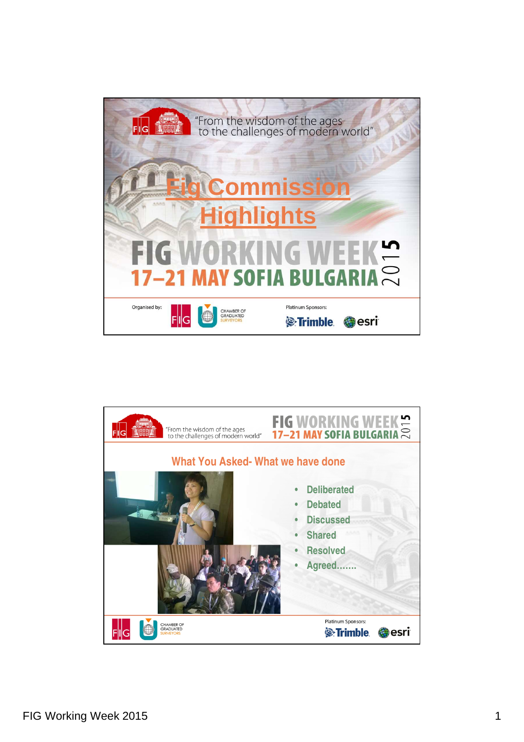

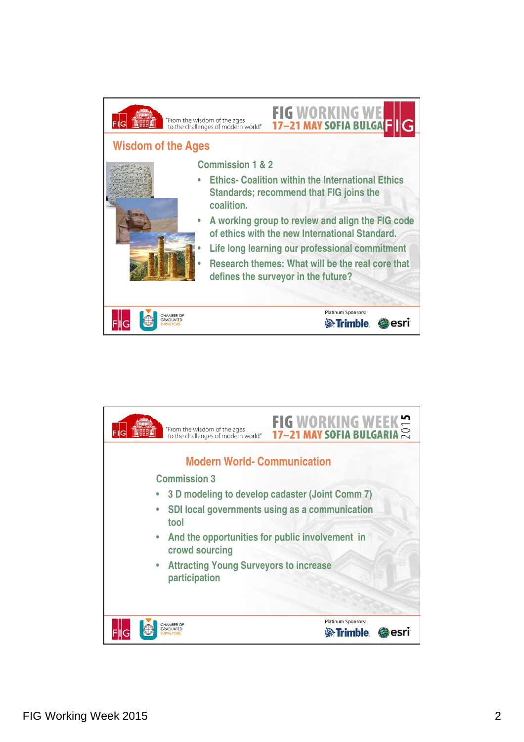

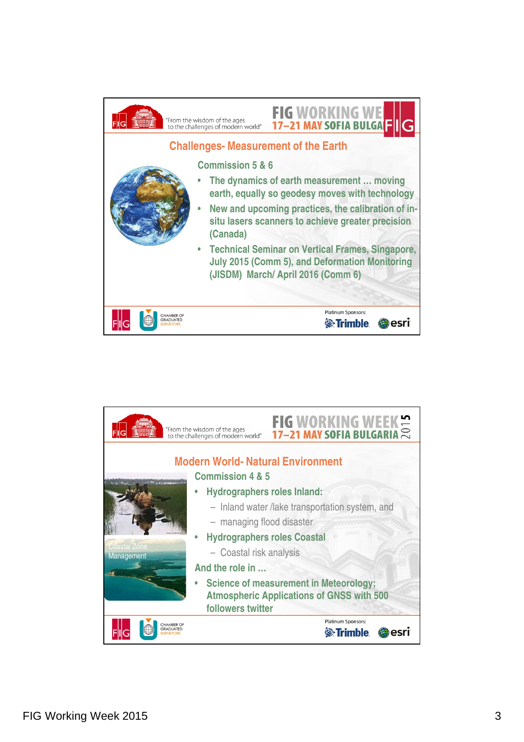

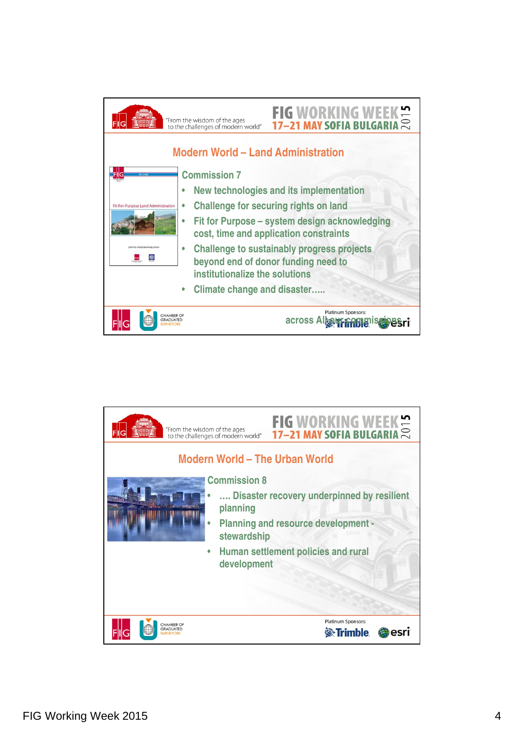

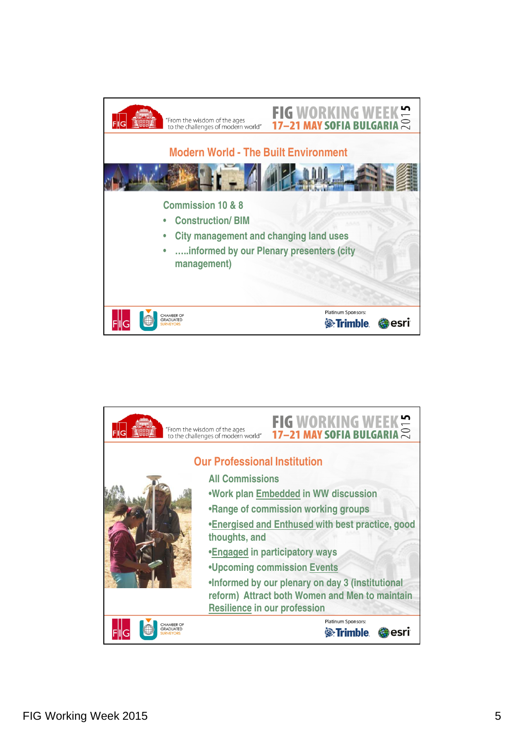